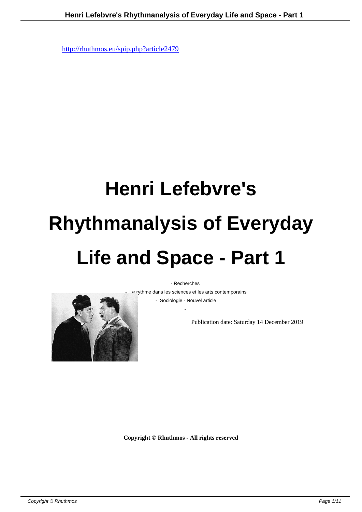# **Henri Lefebvre's Rhythmanalysis of Everyday Life and Space - Part 1**



- Recherches

- Le rythme dans les sciences et les arts contemporains

 - Sociologie - Nouvel article -

Publication date: Saturday 14 December 2019

**Copyright © Rhuthmos - All rights reserved**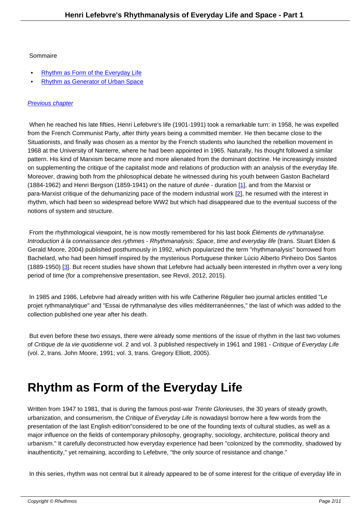## Sommaire

- Rhythm as Form of the Everyday Life
- Rhythm as Generator of Urban Space

### Prev[ious chapter](http://rhuthmos.eu/spip.php?page=article_pdf&id_article=2479#outil_sommaire_0)

 When he reached his late fifties, Henri Lefebvre's life (1901-1991) took a remarkable turn: in 1958, he was expelled [from the French C](http://rhuthmos.eu/spip.php?article2694)ommunist Party, after thirty years being a committed member. He then became close to the Situationists, and finally was chosen as a mentor by the French students who launched the rebellion movement in 1968 at the University of Nanterre, where he had been appointed in 1965. Naturally, his thought followed a similar pattern. His kind of Marxism became more and more alienated from the dominant doctrine. He increasingly insisted on supplementing the critique of the capitalist mode and relations of production with an analysis of the everyday life. Moreover, drawing both from the philosophical debate he witnessed during his youth between Gaston Bachelard (1884-1962) and Henri Bergson (1859-1941) on the nature of durée - duration [1], and from the Marxist or para-Marxist critique of the dehumanizing pace of the modern industrial work [2], he resumed with the interest in rhythm, which had been so widespread before WW2 but which had disappeared due to the eventual success of the notions of system and structure.

From the rhythmological viewpoint, he is now mostly remembered for his last book Eléments de rythmanalyse. Introduction à la connaissance des rythmes - Rhythmanalysis: Space, time and everyday life (trans. Stuart Elden & Gerald Moore, 2004) published posthumously in 1992, which popularized the term "rhythmanalysis" borrowed from Bachelard, who had been himself inspired by the mysterious Portuguese thinker Lúcio Alberto Pinheiro Dos Santos (1889-1950) [3]. But recent studies have shown that Lefebvre had actually been interested in rhythm over a very long period of time (for a comprehensive presentation, see Revol, 2012, 2015).

 In 1985 and [19](#nb3)86, Lefebvre had already written with his wife Catherine Régulier two journal articles entitled "Le projet rythmanalytique" and "Essai de rythmanalyse des villes méditerranéennes," the last of which was added to the collection published one year after his death.

 But even before these two essays, there were already some mentions of the issue of rhythm in the last two volumes of Critique de la vie quotidienne vol. 2 and vol. 3 published respectively in 1961 and 1981 - Critique of Everyday Life (vol. 2, trans. John Moore, 1991; vol. 3, trans. Gregory Elliott, 2005).

## **Rhythm as Form of the Everyday Life**

Written from 1947 to 1981, that is during the famous post-war Trente Glorieuses, the 30 years of steady growth, urbanization, and consumerism, the Critique of Everyday Life is nowadays I borrow here a few words from the presentation of the last English edition"considered to be one of the founding texts of cultural studies, as well as a major influence on the fields of contemporary philosophy, geography, sociology, architecture, political theory and urbanism." It carefully deconstructed how everyday experience had been "colonized by the commodity, shadowed by inauthenticity," yet remaining, according to Lefebvre, "the only source of resistance and change."

In this series, rhythm was not central but it already appeared to be of some interest for the critique of everyday life in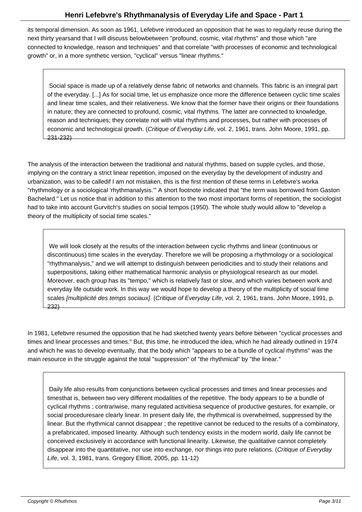its temporal dimension. As soon as 1961, Lefebvre introduced an opposition that he was to regularly reuse during the next thirty years and that I will discuss below between "profound, cosmic, vital rhythms" and those which "are connected to knowledge, reason and techniques" and that correlate "with processes of economic and technological growth" or, in a more synthetic version, "cyclical" versus "linear rhythms."

 Social space is made up of a relatively dense fabric of networks and channels. This fabric is an integral part of the everyday. [...] As for social time, let us emphasize once more the difference between cyclic time scales and linear time scales, and their relativeness. We know that the former have their origins or their foundations in nature; they are connected to profound, cosmic, vital rhythms. The latter are connected to knowledge, reason and techniques; they correlate not with vital rhythms and processes, but rather with processes of economic and technological growth. (Critique of Everyday Life, vol. 2, 1961, trans. John Moore, 1991, pp. 231-232)

The analysis of the interaction between the traditional and natural rhythms, based on supple cycles, and those, implying on the contrary a strict linear repetition, imposed on the everyday by the development of industry and urbanization, was to be called if I am not mistaken, this is the first mention of these terms in Lefebvre's work a "rhythmology or a sociological 'rhythmanalysis.'" A short footnote indicated that "the term was borrowed from Gaston Bachelard." Let us notice that in addition to this attention to the two most important forms of repetition, the sociologist had to take into account Gurvitch's studies on social tempos (1950). The whole study would allow to "develop a theory of the multiplicity of social time scales."

 We will look closely at the results of the interaction between cyclic rhythms and linear (continuous or discontinuous) time scales in the everyday. Therefore we will be proposing a rhythmology or a sociological "rhythmanalysis," and we will attempt to distinguish between periodicities and to study their relations and superpositions, taking either mathematical harmonic analysis or physiological research as our model. Moreover, each group has its "tempo," which is relatively fast or slow, and which varies between work and everyday life outside work. In this way we would hope to develop a theory of the multiplicity of social time scales [multiplicité des temps sociaux]. (Critique of Everyday Life, vol. 2, 1961, trans. John Moore, 1991, p. 232)

In 1981, Lefebvre resumed the opposition that he had sketched twenty years before between "cyclical processes and times and linear processes and times." But, this time, he introduced the idea, which he had already outlined in 1974 and which he was to develop eventually, that the body which "appears to be a bundle of cyclical rhythms" was the main resource in the struggle against the total "suppression" of "the rhythmical" by "the linear."

 Daily life also results from conjunctions between cyclical processes and times and linear processes and times that is, between two very different modalities of the repetitive. The body appears to be a bundle of cyclical rhythms ; contrariwise, many regulated activities a sequence of productive gestures, for example, or social procedures are clearly linear. In present daily life, the rhythmical is overwhelmed, suppressed by the linear. But the rhythmical cannot disappear ; the repetitive cannot be reduced to the results of a combinatory, a prefabricated, imposed linearity. Although such tendency exists in the modern world, daily life cannot be conceived exclusively in accordance with functional linearity. Likewise, the qualitative cannot completely disappear into the quantitative, nor use into exchange, nor things into pure relations. (Critique of Everyday Life, vol. 3, 1981, trans. Gregory Elliott, 2005, pp. 11-12)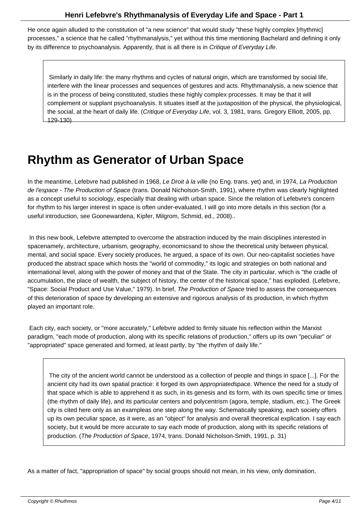He once again alluded to the constitution of "a new science" that would study "these highly complex [rhythmic] processes," a science that he called "rhythmanalysis," yet without this time mentioning Bachelard and defining it only by its difference to psychoanalysis. Apparently, that is all there is in Critique of Everyday Life.

 Similarly in daily life: the many rhythms and cycles of natural origin, which are transformed by social life, interfere with the linear processes and sequences of gestures and acts. Rhythmanalysis, a new science that is in the process of being constituted, studies these highly complex processes. It may be that it will complement or supplant psychoanalysis. It situates itself at the juxtaposition of the physical, the physiological, the social, at the heart of daily life. (Critique of Everyday Life, vol. 3, 1981, trans. Gregory Elliott, 2005, pp. 129-130)

## **Rhythm as Generator of Urban Space**

In the meantime, Lefebvre had published in 1968, Le Droit à la ville (no Eng. trans. yet) and, in 1974, La Production de l'espace - The Production of Space (trans. Donald Nicholson-Smith, 1991), where rhythm was clearly highlighted as a concept useful to sociology, especially that dealing with urban space. Since the relation of Lefebvre's concern for rhythm to his larger interest in space is often under-evaluated, I will go into more details in this section (for a useful introduction, see Goonewardena, Kipfer, Milgrom, Schmid, ed., 2008)..

 In this new book, Lefebvre attempted to overcome the abstraction induced by the main disciplines interested in space namely, architecture, urbanism, geography, economics and to show the theoretical unity between physical, mental, and social space. Every society produces, he argued, a space of its own. Our neo-capitalist societies have produced the abstract space which hosts the "world of commodity," its logic and strategies on both national and international level, along with the power of money and that of the State. The city in particular, which is "the cradle of accumulation, the place of wealth, the subject of history, the center of the historical space," has exploded. (Lefebvre, "Space: Social Product and Use Value," 1979). In brief, The Production of Space tried to assess the consequences of this deterioration of space by developing an extensive and rigorous analysis of its production, in which rhythm played an important role.

 Each city, each society, or "more accurately," Lefebvre added to firmly situate his reflection within the Marxist paradigm, "each mode of production, along with its specific relations of production," offers up its own "peculiar" or "appropriated" space generated and formed, at least partly, by "the rhythm of daily life."

 The city of the ancient world cannot be understood as a collection of people and things in space [...]. For the ancient city had its own spatial practice: it forged its own appropriated space. Whence the need for a study of that space which is able to apprehend it as such, in its genesis and its form, with its own specific time or times (the rhythm of daily life), and its particular centers and polycentrism (agora, temple, stadium, etc.). The Greek city is cited here only as an example as one step along the way. Schematically speaking, each society offers up its own peculiar space, as it were, as an "object" for analysis and overall theoretical explication. I say each society, but it would be more accurate to say each mode of production, along with its specific relations of production. (The Production of Space, 1974, trans. Donald Nicholson-Smith, 1991, p. 31)

As a matter of fact, "appropriation of space" by social groups should not mean, in his view, only domination,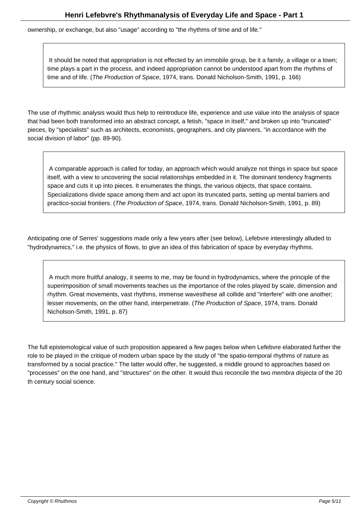It should be noted that appropriation is not effected by an immobile group, be it a family, a village or a town; time plays a part in the process, and indeed appropriation cannot be understood apart from the rhythms of time and of life. (The Production of Space, 1974, trans. Donald Nicholson-Smith, 1991, p. 166)

The use of rhythmic analysis would thus help to reintroduce life, experience and use value into the analysis of space that had been both transformed into an abstract concept, a fetish, "space in itself," and broken up into "truncated" pieces, by "specialists" such as architects, economists, geographers, and city planners, "in accordance with the social division of labor" (pp. 89-90).

 A comparable approach is called for today, an approach which would analyze not things in space but space itself, with a view to uncovering the social relationships embedded in it. The dominant tendency fragments space and cuts it up into pieces. It enumerates the things, the various objects, that space contains. Specializations divide space among them and act upon its truncated parts, setting up mental barriers and practico-social frontiers. (The Production of Space, 1974, trans. Donald Nicholson-Smith, 1991, p. 89)

Anticipating one of Serres' suggestions made only a few years after (see below), Lefebvre interestingly alluded to "hydrodynamics," i.e. the physics of flows, to give an idea of this fabrication of space by everyday rhythms.

 A much more fruitful analogy, it seems to me, may be found in hydrodynamics, where the principle of the superimposition of small movements teaches us the importance of the roles played by scale, dimension and rhythm. Great movements, vast rhythms, immense waves these all collide and "interfere" with one another; lesser movements, on the other hand, interpenetrate. (The Production of Space, 1974, trans. Donald Nicholson-Smith, 1991, p. 87)

The full epistemological value of such proposition appeared a few pages below when Lefebvre elaborated further the role to be played in the critique of modern urban space by the study of "the spatio-temporal rhythms of nature as transformed by a social practice." The latter would offer, he suggested, a middle ground to approaches based on "processes" on the one hand, and "structures" on the other. It would thus reconcile the two membra disjecta of the 20 th century social science.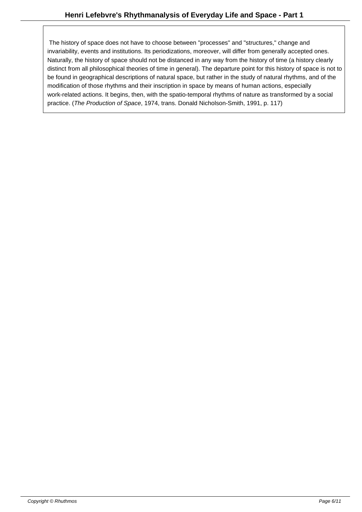The history of space does not have to choose between "processes" and "structures," change and invariability, events and institutions. Its periodizations, moreover, will differ from generally accepted ones. Naturally, the history of space should not be distanced in any way from the history of time (a history clearly distinct from all philosophical theories of time in general). The departure point for this history of space is not to be found in geographical descriptions of natural space, but rather in the study of natural rhythms, and of the modification of those rhythms and their inscription in space by means of human actions, especially work-related actions. It begins, then, with the spatio-temporal rhythms of nature as transformed by a social practice. (The Production of Space, 1974, trans. Donald Nicholson-Smith, 1991, p. 117)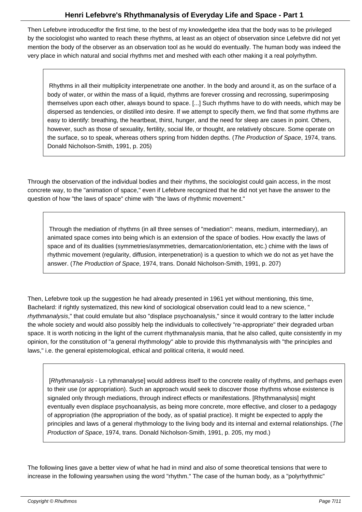Then Lefebvre introducedfor the first time, to the best of my knowledgethe idea that the body was to be privileged by the sociologist who wanted to reach these rhythms, at least as an object of observation since Lefebvre did not yet mention the body of the observer as an observation tool as he would do eventually. The human body was indeed the very place in which natural and social rhythms met and meshed with each other making it a real polyrhythm.

 Rhythms in all their multiplicity interpenetrate one another. In the body and around it, as on the surface of a body of water, or within the mass of a liquid, rhythms are forever crossing and recrossing, superimposing themselves upon each other, always bound to space. [...] Such rhythms have to do with needs, which may be dispersed as tendencies, or distilled into desire. If we attempt to specify them, we find that some rhythms are easy to identify: breathing, the heartbeat, thirst, hunger, and the need for sleep are cases in point. Others, however, such as those of sexuality, fertility, social life, or thought, are relatively obscure. Some operate on the surface, so to speak, whereas others spring from hidden depths. (The Production of Space, 1974, trans. Donald Nicholson-Smith, 1991, p. 205)

Through the observation of the individual bodies and their rhythms, the sociologist could gain access, in the most concrete way, to the "animation of space," even if Lefebvre recognized that he did not yet have the answer to the question of how "the laws of space" chime with "the laws of rhythmic movement."

 Through the mediation of rhythms (in all three senses of "mediation": means, medium, intermediary), an animated space comes into being which is an extension of the space of bodies. How exactly the laws of space and of its dualities (symmetries/asymmetries, demarcation/orientation, etc.) chime with the laws of rhythmic movement (regularity, diffusion, interpenetration) is a question to which we do not as yet have the answer. (The Production of Space, 1974, trans. Donald Nicholson-Smith, 1991, p. 207)

Then, Lefebvre took up the suggestion he had already presented in 1961 yet without mentioning, this time, Bachelard: if rightly systematized, this new kind of sociological observation could lead to a new science, " rhythmanalysis," that could emulate but also "displace psychoanalysis," since it would contrary to the latter include the whole society and would also possibly help the individuals to collectively "re-appropriate" their degraded urban space. It is worth noticing in the light of the current rhythmanalysis mania, that he also called, quite consistently in my opinion, for the constitution of "a general rhythmology" able to provide this rhythmanalysis with "the principles and laws," i.e. the general epistemological, ethical and political criteria, it would need.

 [Rhythmanalysis - La rythmanalyse] would address itself to the concrete reality of rhythms, and perhaps even to their use (or appropriation). Such an approach would seek to discover those rhythms whose existence is signaled only through mediations, through indirect effects or manifestations. [Rhythmanalysis] might eventually even displace psychoanalysis, as being more concrete, more effective, and closer to a pedagogy of appropriation (the appropriation of the body, as of spatial practice). It might be expected to apply the principles and laws of a general rhythmology to the living body and its internal and external relationships. (The Production of Space, 1974, trans. Donald Nicholson-Smith, 1991, p. 205, my mod.)

The following lines gave a better view of what he had in mind and also of some theoretical tensions that were to increase in the following years when using the word "rhythm." The case of the human body, as a "polyrhythmic"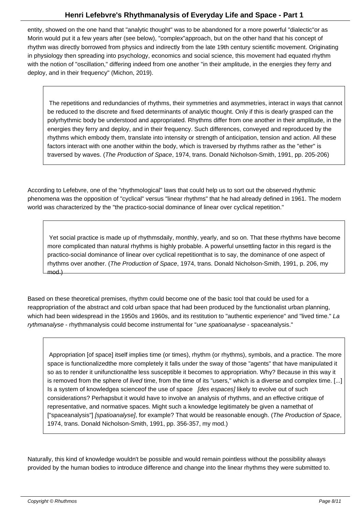entity, showed on the one hand that "analytic thought" was to be abandoned for a more powerful "dialectic"or as Morin would put it a few years after (see below), "complex"approach, but on the other hand that his concept of rhythm was directly borrowed from physics and indirectly from the late 19th century scientific movement. Originating in physiology then spreading into psychology, economics and social science, this movement had equated rhythm with the notion of "oscillation," differing indeed from one another "in their amplitude, in the energies they ferry and deploy, and in their frequency" (Michon, 2019).

 The repetitions and redundancies of rhythms, their symmetries and asymmetries, interact in ways that cannot be reduced to the discrete and fixed determinants of analytic thought. Only if this is dearly grasped can the polyrhythmic body be understood and appropriated. Rhythms differ from one another in their amplitude, in the energies they ferry and deploy, and in their frequency. Such differences, conveyed and reproduced by the rhythms which embody them, translate into intensity or strength of anticipation, tension and action. All these factors interact with one another within the body, which is traversed by rhythms rather as the "ether" is traversed by waves. (The Production of Space, 1974, trans. Donald Nicholson-Smith, 1991, pp. 205-206)

According to Lefebvre, one of the "rhythmological" laws that could help us to sort out the observed rhythmic phenomena was the opposition of "cyclical" versus "linear rhythms" that he had already defined in 1961. The modern world was characterized by the "the practico-social dominance of linear over cyclical repetition."

Yet social practice is made up of rhythms daily, monthly, yearly, and so on. That these rhythms have become more complicated than natural rhythms is highly probable. A powerful unsettling factor in this regard is the practico-social dominance of linear over cyclical repetition that is to say, the dominance of one aspect of rhythms over another. (The Production of Space, 1974, trans. Donald Nicholson-Smith, 1991, p. 206, my mod.)

Based on these theoretical premises, rhythm could become one of the basic tool that could be used for a reappropriation of the abstract and cold urban space that had been produced by the functionalist urban planning, which had been widespread in the 1950s and 1960s, and its restitution to "authentic experience" and "lived time." La rythmanalyse - rhythmanalysis could become instrumental for "une spatioanalyse - spaceanalysis."

 Appropriation [of space] itself implies time (or times), rhythm (or rhythms), symbols, and a practice. The more space is functionalized the more completely it falls under the sway of those "agents" that have manipulated it so as to render it unifunctional the less susceptible it becomes to appropriation. Why? Because in this way it is removed from the sphere of *lived* time, from the time of its "users," which is a diverse and complex time. [...] Is a system of knowledge a science of the use of space [des espaces] likely to evolve out of such considerations? Perhaps but it would have to involve an analysis of rhythms, and an effective critique of representative, and normative spaces. Might such a knowledge legitimately be given a namethat of ["spaceanalysis"] [spatioanalyse], for example? That would be reasonable enough. (The Production of Space, 1974, trans. Donald Nicholson-Smith, 1991, pp. 356-357, my mod.)

Naturally, this kind of knowledge wouldn't be possible and would remain pointless without the possibility always provided by the human bodies to introduce difference and change into the linear rhythms they were submitted to.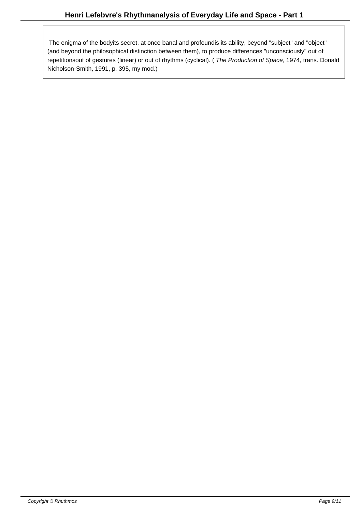The enigma of the body its secret, at once banal and profound is its ability, beyond "subject" and "object" (and beyond the philosophical distinction between them), to produce differences "unconsciously" out of repetitions out of gestures (linear) or out of rhythms (cyclical). (The Production of Space, 1974, trans. Donald Nicholson-Smith, 1991, p. 395, my mod.)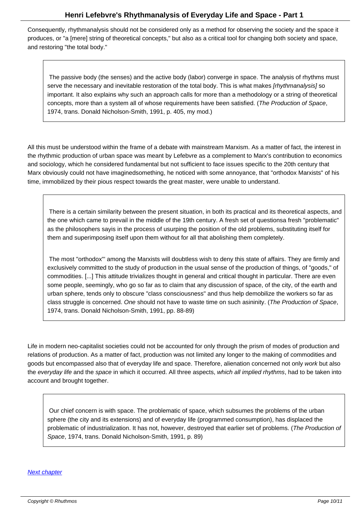Consequently, rhythmanalysis should not be considered only as a method for observing the society and the space it produces, or "a [mere] string of theoretical concepts," but also as a critical tool for changing both society and space, and restoring "the total body."

 The passive body (the senses) and the active body (labor) converge in space. The analysis of rhythms must serve the necessary and inevitable restoration of the total body. This is what makes [rhythmanalysis] so important. It also explains why such an approach calls for more than a methodology or a string of theoretical concepts, more than a system all of whose requirements have been satisfied. (The Production of Space, 1974, trans. Donald Nicholson-Smith, 1991, p. 405, my mod.)

All this must be understood within the frame of a debate with mainstream Marxism. As a matter of fact, the interest in the rhythmic production of urban space was meant by Lefebvre as a complement to Marx's contribution to economics and sociology, which he considered fundamental but not sufficient to face issues specific to the 20th century that Marx obviously could not have imagined something, he noticed with some annoyance, that "orthodox Marxists" of his time, immobilized by their pious respect towards the great master, were unable to understand.

 There is a certain similarity between the present situation, in both its practical and its theoretical aspects, and the one which came to prevail in the middle of the 19th century. A fresh set of questions a fresh "problematic" as the philosophers say is in the process of usurping the position of the old problems, substituting itself for them and superimposing itself upon them without for all that abolishing them completely.

 The most "orthodox"' among the Marxists will doubtless wish to deny this state of affairs. They are firmly and exclusively committed to the study of production in the usual sense of the production of things, of "goods," of commodities. [...] This attitude trivializes thought in general and critical thought in particular. There are even some people, seemingly, who go so far as to claim that any discussion of space, of the city, of the earth and urban sphere, tends only to obscure "class consciousness" and thus help demobilize the workers so far as class struggle is concerned. One should not have to waste time on such asininity. (The Production of Space, 1974, trans. Donald Nicholson-Smith, 1991, pp. 88-89)

Life in modern neo-capitalist societies could not be accounted for only through the prism of modes of production and relations of production. As a matter of fact, production was not limited any longer to the making of commodities and goods but encompassed also that of everyday life and space. Therefore, alienation concerned not only work but also the everyday life and the space in which it occurred. All three aspects, which all implied rhythms, had to be taken into account and brought together.

 Our chief concern is with space. The problematic of space, which subsumes the problems of the urban sphere (the city and its extensions) and of everyday life (programmed consumption), has displaced the problematic of industrialization. It has not, however, destroyed that earlier set of problems. (The Production of Space, 1974, trans. Donald Nicholson-Smith, 1991, p. 89)

#### **Next chapter**